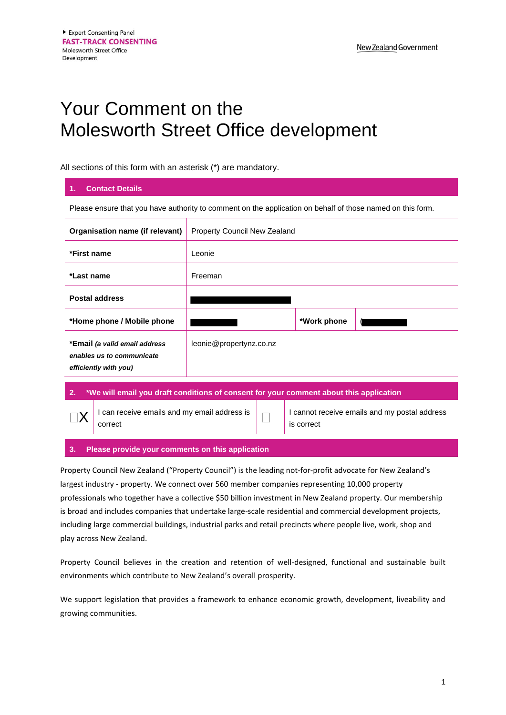## Your Comment on the Molesworth Street Office development

All sections of this form with an asterisk (\*) are mandatory.

| <b>Contact Details</b><br>1.                                                                                            |                              |             |  |
|-------------------------------------------------------------------------------------------------------------------------|------------------------------|-------------|--|
| Please ensure that you have authority to comment on the application on behalf of those named on this form.              |                              |             |  |
| Organisation name (if relevant)                                                                                         | Property Council New Zealand |             |  |
| *First name                                                                                                             | Leonie                       |             |  |
| *Last name                                                                                                              | Freeman                      |             |  |
| <b>Postal address</b>                                                                                                   |                              |             |  |
| *Home phone / Mobile phone                                                                                              |                              | *Work phone |  |
| *Email (a valid email address<br>enables us to communicate<br>efficiently with you)                                     | leonie@propertynz.co.nz      |             |  |
| <b>Contract Contract Contract Contract</b><br>.<br>the company's company of the company's com-<br><b>ALC: NO R</b><br>. |                              |             |  |

**2. \*We will email you draft conditions of consent for your comment about this application**  $\square X$ I can receive emails and my email address is  $\bigcap$ I cannot receive emails and my postal address is correct

## **3. Please provide your comments on this application**

Property Council New Zealand ("Property Council") is the leading not-for-profit advocate for New Zealand's largest industry - property. We connect over 560 member companies representing 10,000 property professionals who together have a collective \$50 billion investment in New Zealand property. Our membership is broad and includes companies that undertake large-scale residential and commercial development projects, including large commercial buildings, industrial parks and retail precincts where people live, work, shop and play across New Zealand.

Property Council believes in the creation and retention of well-designed, functional and sustainable built environments which contribute to New Zealand's overall prosperity.

We support legislation that provides a framework to enhance economic growth, development, liveability and growing communities.